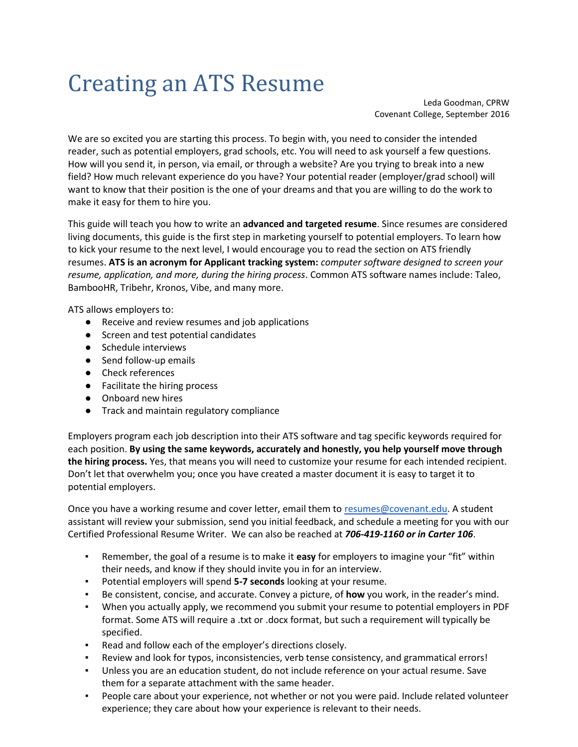# Creating an ATS Resume

Leda Goodman, CPRW Covenant College, September 2016

We are so excited you are starting this process. To begin with, you need to consider the intended reader, such as potential employers, grad schools, etc. You will need to ask yourself a few questions. How will you send it, in person, via email, or through a website? Are you trying to break into a new field? How much relevant experience do you have? Your potential reader (employer/grad school) will want to know that their position is the one of your dreams and that you are willing to do the work to make it easy for them to hire you.

This guide will teach you how to write an **advanced and targeted resume**. Since resumes are considered living documents, this guide is the first step in marketing yourself to potential employers. To learn how to kick your resume to the next level, I would encourage you to read the section on ATS friendly resumes. **ATS is an acronym for Applicant tracking system:** *computer software designed to screen your resume, application, and more, during the hiring process*. Common ATS software names include: Taleo, BambooHR, Tribehr, Kronos, Vibe, and many more.

ATS allows employers to:

- Receive and review resumes and job applications
- Screen and test potential candidates
- Schedule interviews
- Send follow-up emails
- Check references
- Facilitate the hiring process
- Onboard new hires
- Track and maintain regulatory compliance

Employers program each job description into their ATS software and tag specific keywords required for each position. **By using the same keywords, accurately and honestly, you help yourself move through the hiring process.** Yes, that means you will need to customize your resume for each intended recipient. Don't let that overwhelm you; once you have created a master document it is easy to target it to potential employers.

Once you have a working resume and cover letter, email them t[o resumes@covenant.edu.](mailto:resumes@covenant.edu) A student assistant will review your submission, send you initial feedback, and schedule a meeting for you with our Certified Professional Resume Writer. We can also be reached at *706-419-1160 or in Carter 106*.

- Remember, the goal of a resume is to make it **easy** for employers to imagine your "fit" within their needs, and know if they should invite you in for an interview.
- Potential employers will spend **5-7 seconds** looking at your resume.
- Be consistent, concise, and accurate. Convey a picture, of **how** you work, in the reader's mind.
- When you actually apply, we recommend you submit your resume to potential employers in PDF format. Some ATS will require a .txt or .docx format, but such a requirement will typically be specified.
- Read and follow each of the employer's directions closely.
- Review and look for typos, inconsistencies, verb tense consistency, and grammatical errors!
- Unless you are an education student, do not include reference on your actual resume. Save them for a separate attachment with the same header.
- People care about your experience, not whether or not you were paid. Include related volunteer experience; they care about how your experience is relevant to their needs.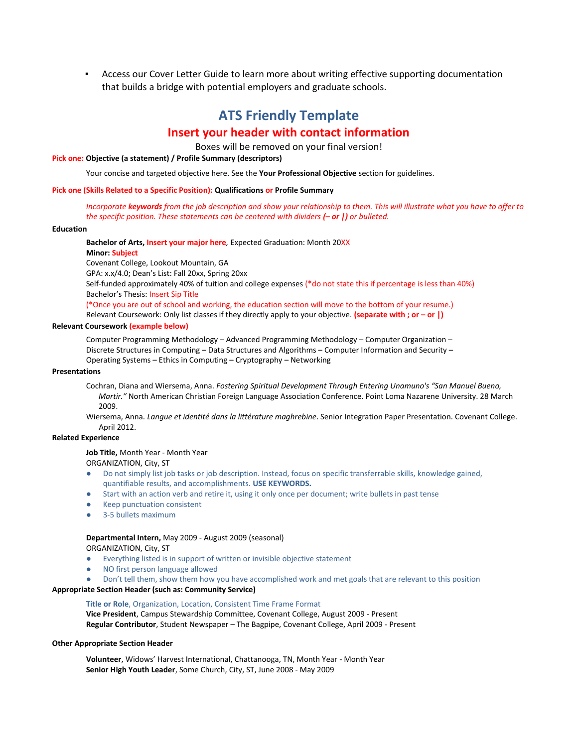▪ Access our Cover Letter Guide to learn more about writing effective supporting documentation that builds a bridge with potential employers and graduate schools.

# **ATS Friendly Template Insert your header with contact information**

Boxes will be removed on your final version!

#### **Pick one: Objective (a statement) / Profile Summary (descriptors)**

Your concise and targeted objective here. See the **Your Professional Objective** section for guidelines.

#### **Pick one (Skills Related to a Specific Position): Qualifications or Profile Summary**

*Incorporate keywords from the job description and show your relationship to them. This will illustrate what you have to offer to the specific position. These statements can be centered with dividers (***–** *or |) or bulleted.*

#### **Education**

**Bachelor of Arts, Insert your major here***,* Expected Graduation: Month 20XX

#### **Minor: Subject**

Covenant College, Lookout Mountain, GA

GPA: x.x/4.0; Dean's List: Fall 20xx, Spring 20xx

Self-funded approximately 40% of tuition and college expenses (\*do not state this if percentage is less than 40%) Bachelor's Thesis: Insert Sip Title

(\*Once you are out of school and working, the education section will move to the bottom of your resume.)

Relevant Coursework: Only list classes if they directly apply to your objective. **(separate with ; or – or |)**

#### **Relevant Coursework (example below)**

Computer Programming Methodology – Advanced Programming Methodology – Computer Organization – Discrete Structures in Computing – Data Structures and Algorithms – Computer Information and Security – Operating Systems – Ethics in Computing – Cryptography – Networking

#### **Presentations**

Cochran, Diana and Wiersema, Anna. *Fostering Spiritual Development Through Entering Unamuno's "San Manuel Bueno, Martir."* North American Christian Foreign Language Association Conference. Point Loma Nazarene University. 28 March 2009.

Wiersema, Anna. *Langue et identité dans la littérature maghrebine*. Senior Integration Paper Presentation. Covenant College. April 2012.

#### **Related Experience**

#### **Job Title,** Month Year - Month Year

ORGANIZATION, City, ST

- Do not simply list job tasks or job description. Instead, focus on specific transferrable skills, knowledge gained, quantifiable results, and accomplishments. **USE KEYWORDS.**
- Start with an action verb and retire it, using it only once per document; write bullets in past tense
- Keep punctuation consistent
- 3-5 bullets maximum

#### **Departmental Intern,** May 2009 - August 2009 (seasonal)

ORGANIZATION, City, ST

- Everything listed is in support of written or invisible objective statement
- NO first person language allowed
- Don't tell them, show them how you have accomplished work and met goals that are relevant to this position

#### **Appropriate Section Header (such as: Community Service)**

**Title or Role**, Organization, Location, Consistent Time Frame Format **Vice President**, Campus Stewardship Committee, Covenant College, August 2009 - Present **Regular Contributor**, Student Newspaper – The Bagpipe, Covenant College, April 2009 - Present

#### **Other Appropriate Section Header**

**Volunteer**, Widows' Harvest International, Chattanooga, TN, Month Year - Month Year **Senior High Youth Leader**, Some Church, City, ST, June 2008 - May 2009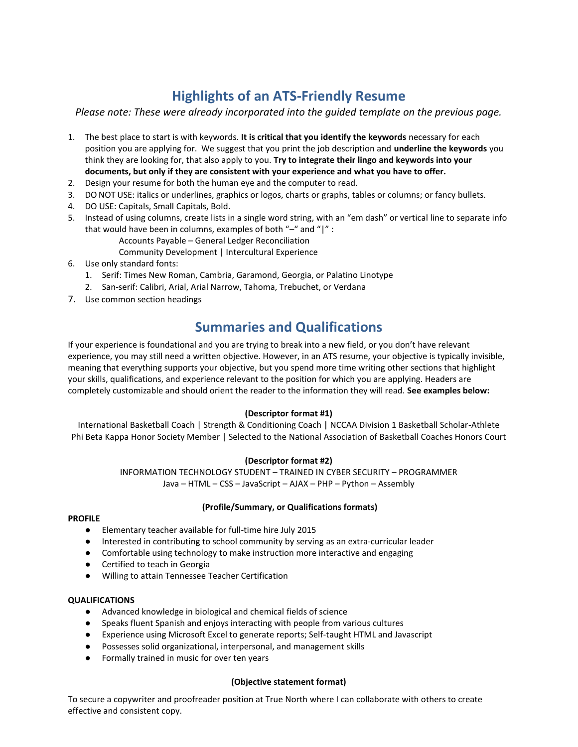# **Highlights of an ATS-Friendly Resume**

*Please note: These were already incorporated into the guided template on the previous page.*

- 1. The best place to start is with keywords. **It is critical that you identify the keywords** necessary for each position you are applying for. We suggest that you print the job description and **underline the keywords** you think they are looking for, that also apply to you. **Try to integrate their lingo and keywords into your documents, but only if they are consistent with your experience and what you have to offer.**
- 2. Design your resume for both the human eye and the computer to read.
- 3. DO NOT USE: italics or underlines, graphics or logos, charts or graphs, tables or columns; or fancy bullets.
- 4. DO USE: Capitals, Small Capitals, Bold.
- 5. Instead of using columns, create lists in a single word string, with an "em dash" or vertical line to separate info that would have been in columns, examples of both "–" and "|" :
	- Accounts Payable General Ledger Reconciliation

Community Development | Intercultural Experience

- 6. Use only standard fonts:
	- 1. Serif: Times New Roman, Cambria, Garamond, Georgia, or Palatino Linotype
	- 2. San-serif: Calibri, Arial, Arial Narrow, Tahoma, Trebuchet, or Verdana
- 7. Use common section headings

# **Summaries and Qualifications**

If your experience is foundational and you are trying to break into a new field, or you don't have relevant experience, you may still need a written objective. However, in an ATS resume, your objective is typically invisible, meaning that everything supports your objective, but you spend more time writing other sections that highlight your skills, qualifications, and experience relevant to the position for which you are applying. Headers are completely customizable and should orient the reader to the information they will read. **See examples below:**

# **(Descriptor format #1)**

International Basketball Coach | Strength & Conditioning Coach | NCCAA Division 1 Basketball Scholar-Athlete Phi Beta Kappa Honor Society Member | Selected to the National Association of Basketball Coaches Honors Court

# **(Descriptor format #2)**

INFORMATION TECHNOLOGY STUDENT – TRAINED IN CYBER SECURITY – PROGRAMMER Java – HTML – CSS – JavaScript – AJAX – PHP – Python – Assembly

# **(Profile/Summary, or Qualifications formats)**

#### **PROFILE**

- Elementary teacher available for full-time hire July 2015
- Interested in contributing to school community by serving as an extra-curricular leader
- Comfortable using technology to make instruction more interactive and engaging
- Certified to teach in Georgia
- Willing to attain Tennessee Teacher Certification

# **QUALIFICATIONS**

- Advanced knowledge in biological and chemical fields of science
- Speaks fluent Spanish and enjoys interacting with people from various cultures
- Experience using Microsoft Excel to generate reports; Self-taught HTML and Javascript
- Possesses solid organizational, interpersonal, and management skills
- Formally trained in music for over ten years

#### **(Objective statement format)**

To secure a copywriter and proofreader position at True North where I can collaborate with others to create effective and consistent copy.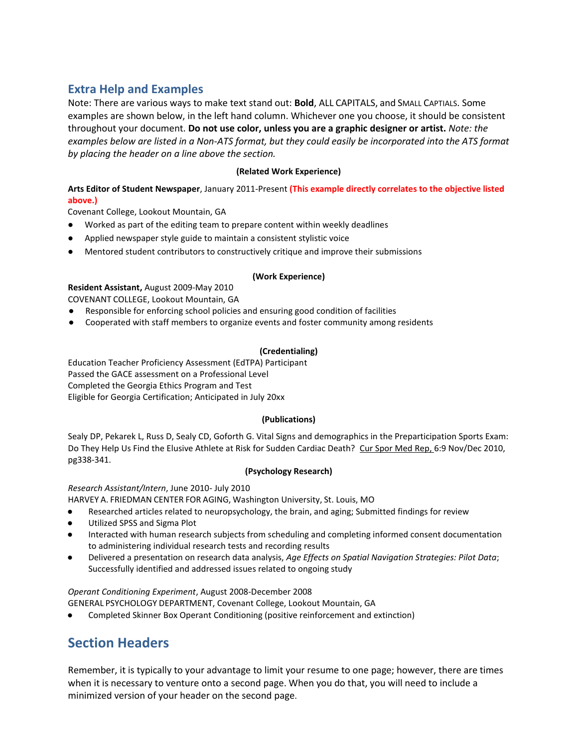# **Extra Help and Examples**

Note: There are various ways to make text stand out: **Bold**, ALL CAPITALS, and SMALL CAPTIALS. Some examples are shown below, in the left hand column. Whichever one you choose, it should be consistent throughout your document. **Do not use color, unless you are a graphic designer or artist.** *Note: the examples below are listed in a Non-ATS format, but they could easily be incorporated into the ATS format by placing the header on a line above the section.*

# **(Related Work Experience)**

**Arts Editor of Student Newspaper**, January 2011-Present **(This example directly correlates to the objective listed above.)**

Covenant College, Lookout Mountain, GA

- Worked as part of the editing team to prepare content within weekly deadlines
- Applied newspaper style guide to maintain a consistent stylistic voice
- Mentored student contributors to constructively critique and improve their submissions

# **(Work Experience)**

# **Resident Assistant,** August 2009-May 2010

COVENANT COLLEGE, Lookout Mountain, GA

- Responsible for enforcing school policies and ensuring good condition of facilities
- Cooperated with staff members to organize events and foster community among residents

# **(Credentialing)**

Education Teacher Proficiency Assessment (EdTPA) Participant Passed the GACE assessment on a Professional Level Completed the Georgia Ethics Program and Test Eligible for Georgia Certification; Anticipated in July 20xx

# **(Publications)**

Sealy DP, Pekarek L, Russ D, Sealy CD, Goforth G. Vital Signs and demographics in the Preparticipation Sports Exam: Do They Help Us Find the Elusive Athlete at Risk for Sudden Cardiac Death? Cur Spor Med Rep, 6:9 Nov/Dec 2010, pg338-341.

# **(Psychology Research)**

*Research Assistant/Intern*, June 2010- July 2010

HARVEY A. FRIEDMAN CENTER FOR AGING, Washington University, St. Louis, MO

- Researched articles related to neuropsychology, the brain, and aging; Submitted findings for review
- Utilized SPSS and Sigma Plot
- Interacted with human research subjects from scheduling and completing informed consent documentation to administering individual research tests and recording results
- Delivered a presentation on research data analysis, *Age Effects on Spatial Navigation Strategies: Pilot Data*; Successfully identified and addressed issues related to ongoing study

*Operant Conditioning Experiment*, August 2008-December 2008

GENERAL PSYCHOLOGY DEPARTMENT, Covenant College, Lookout Mountain, GA

Completed Skinner Box Operant Conditioning (positive reinforcement and extinction)

# **Section Headers**

Remember, it is typically to your advantage to limit your resume to one page; however, there are times when it is necessary to venture onto a second page. When you do that, you will need to include a minimized version of your header on the second page.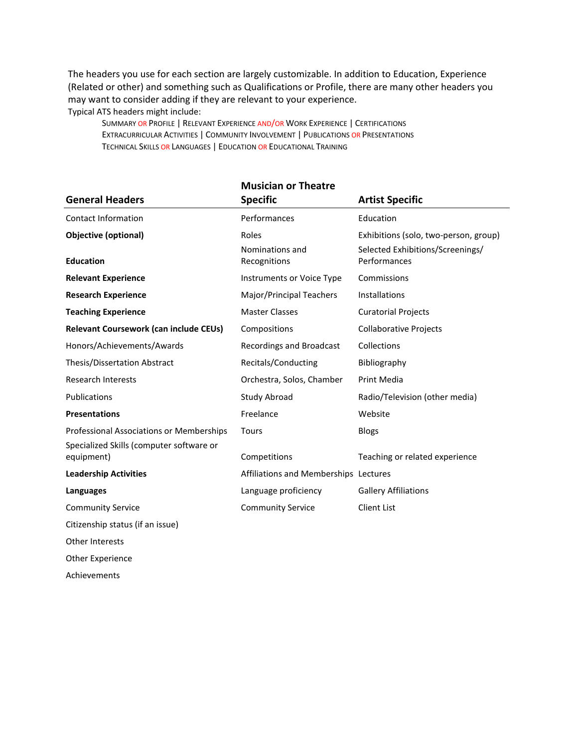The headers you use for each section are largely customizable. In addition to Education, Experience (Related or other) and something such as Qualifications or Profile, there are many other headers you may want to consider adding if they are relevant to your experience. Typical ATS headers might include:

SUMMARY OR PROFILE | RELEVANT EXPERIENCE AND/OR WORK EXPERIENCE | CERTIFICATIONS EXTRACURRICULAR ACTIVITIES | COMMUNITY INVOLVEMENT | PUBLICATIONS OR PRESENTATIONS TECHNICAL SKILLS OR LANGUAGES | EDUCATION OR EDUCATIONAL TRAINING

|                                                        | <b>Musician or Theatre</b>            |                                                  |
|--------------------------------------------------------|---------------------------------------|--------------------------------------------------|
| <b>General Headers</b>                                 | <b>Specific</b>                       | <b>Artist Specific</b>                           |
| <b>Contact Information</b>                             | Performances                          | Education                                        |
| <b>Objective (optional)</b>                            | Roles                                 | Exhibitions (solo, two-person, group)            |
| <b>Education</b>                                       | Nominations and<br>Recognitions       | Selected Exhibitions/Screenings/<br>Performances |
| <b>Relevant Experience</b>                             | Instruments or Voice Type             | Commissions                                      |
| <b>Research Experience</b>                             | Major/Principal Teachers              | Installations                                    |
| <b>Teaching Experience</b>                             | <b>Master Classes</b>                 | <b>Curatorial Projects</b>                       |
| Relevant Coursework (can include CEUs)                 | Compositions                          | <b>Collaborative Projects</b>                    |
| Honors/Achievements/Awards                             | Recordings and Broadcast              | Collections                                      |
| Thesis/Dissertation Abstract                           | Recitals/Conducting                   | Bibliography                                     |
| <b>Research Interests</b>                              | Orchestra, Solos, Chamber             | <b>Print Media</b>                               |
| Publications                                           | Study Abroad                          | Radio/Television (other media)                   |
| <b>Presentations</b>                                   | Freelance                             | Website                                          |
| Professional Associations or Memberships               | Tours                                 | <b>Blogs</b>                                     |
| Specialized Skills (computer software or<br>equipment) | Competitions                          | Teaching or related experience                   |
| <b>Leadership Activities</b>                           | Affiliations and Memberships Lectures |                                                  |
| Languages                                              | Language proficiency                  | <b>Gallery Affiliations</b>                      |
| <b>Community Service</b>                               | <b>Community Service</b>              | <b>Client List</b>                               |
| Citizenship status (if an issue)                       |                                       |                                                  |
| Other Interests                                        |                                       |                                                  |
| Other Experience                                       |                                       |                                                  |

Achievements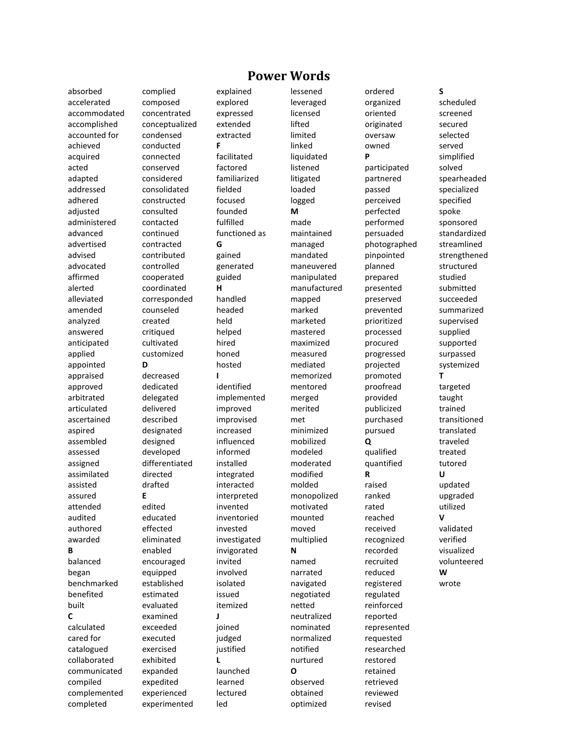absorbed accelerated accommodated accomplished accounted for achieved acquired acted adapted addressed adhered adjusted administered advanced advertised advised advocated affirmed alerted alleviated amended analyzed answered anticipated applied appointed appraised approved arbitrated articulated ascertained aspired assembled assessed assigned assimilated assisted assured attended audited authored awarded **B** balanced began benchmarked benefited built **C** calculated cared for catalogued collaborated communicated compiled complemented completed

complied composed concentrated conceptualized condensed conducted connected conserved considered consolidated constructed consulted contacted continued contracted contributed controlled cooperated coordinated corresponded counseled created critiqued cultivated customized **D** decreased dedicated delegated delivered described designated designed developed differentiated directed drafted **E** edited educated effected eliminated enabled encouraged equipped established estimated evaluated examined exceeded executed exercised exhibited expanded expedited experienced experimented

# explained explored expressed extended extracted **F** facilitated factored familiarized fielded focused founded fulfilled functioned as **G** gained generated guided **H** handled headed held helped hired honed hosted **I** identified implemented improved improvised increased influenced informed installed integrated interacted interpreted invented inventoried invested investigated invigorated invited involved isolated issued itemized **J** joined judged justified **L** launched learned lectured led

lessened leveraged licensed lifted limited linked liquidated listened litigated loaded logged **M** made maintained managed mandated maneuvered manipulated manufactured mapped marked marketed mastered maximized measured mediated memorized mentored merged merited met minimized mobilized modeled moderated modified molded monopolized motivated mounted moved multiplied **N** named narrated navigated negotiated netted neutralized nominated normalized notified nurtured **O** observed obtained optimized

**Power Words**

ordered organized oriented originated oversaw owned **P** participated partnered passed perceived perfected performed persuaded photographed pinpointed planned prepared presented preserved prevented prioritized processed procured progressed projected promoted proofread provided publicized purchased pursued **Q** qualified quantified **R** raised ranked rated reached received recognized recorded recruited reduced registered regulated reinforced reported represented requested researched restored retained retrieved reviewed revised

**S** scheduled screened secured selected served simplified solved spearheaded specialized specified spoke sponsored standardized streamlined strengthened structured studied submitted succeeded summarized supervised supplied supported surpassed systemized **T** targeted taught trained transitioned translated traveled treated tutored **U** updated upgraded utilized **V** validated verified visualized volunteered **W** wrote